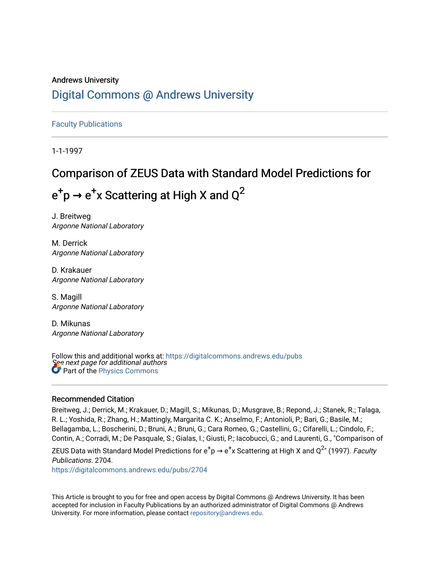# Andrews University [Digital Commons @ Andrews University](https://digitalcommons.andrews.edu/)

[Faculty Publications](https://digitalcommons.andrews.edu/pubs)

1-1-1997

# Comparison of ZEUS Data with Standard Model Predictions for

 $e^+$ p  $\rightarrow$   $e^+$ x Scattering at High X and Q<sup>2</sup>

J. Breitweg Argonne National Laboratory

M. Derrick Argonne National Laboratory

D. Krakauer Argonne National Laboratory

S. Magill Argonne National Laboratory

D. Mikunas Argonne National Laboratory

See next page for additional authors Follow this and additional works at: [https://digitalcommons.andrews.edu/pubs](https://digitalcommons.andrews.edu/pubs?utm_source=digitalcommons.andrews.edu%2Fpubs%2F2704&utm_medium=PDF&utm_campaign=PDFCoverPages)  Part of the [Physics Commons](http://network.bepress.com/hgg/discipline/193?utm_source=digitalcommons.andrews.edu%2Fpubs%2F2704&utm_medium=PDF&utm_campaign=PDFCoverPages)

# Recommended Citation

Breitweg, J.; Derrick, M.; Krakauer, D.; Magill, S.; Mikunas, D.; Musgrave, B.; Repond, J.; Stanek, R.; Talaga, R. L.; Yoshida, R.; Zhang, H.; Mattingly, Margarita C. K.; Anselmo, F.; Antonioli, P.; Bari, G.; Basile, M.; Bellagamba, L.; Boscherini, D.; Bruni, A.; Bruni, G.; Cara Romeo, G.; Castellini, G.; Cifarelli, L.; Cindolo, F.; Contin, A.; Corradi, M.; De Pasquale, S.; Gialas, I.; Giusti, P.; Iacobucci, G.; and Laurenti, G., "Comparison of

ZEUS Data with Standard Model Predictions for  $\rm e^+p\rightarrow e^+x$  Scattering at High X and Q<sup>2</sup>" (1997). *Faculty* Publications. 2704.

[https://digitalcommons.andrews.edu/pubs/2704](https://digitalcommons.andrews.edu/pubs/2704?utm_source=digitalcommons.andrews.edu%2Fpubs%2F2704&utm_medium=PDF&utm_campaign=PDFCoverPages) 

This Article is brought to you for free and open access by Digital Commons @ Andrews University. It has been accepted for inclusion in Faculty Publications by an authorized administrator of Digital Commons @ Andrews University. For more information, please contact [repository@andrews.edu](mailto:repository@andrews.edu).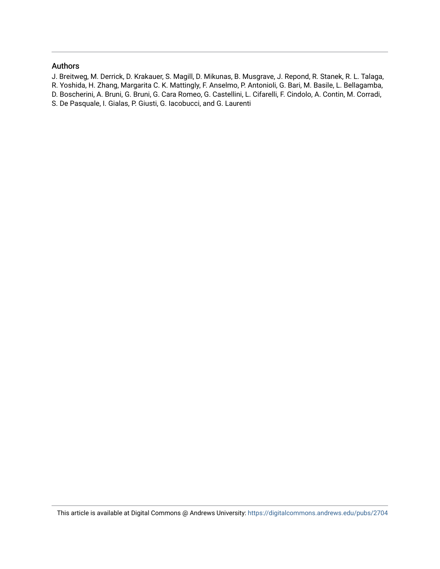# Authors

- J. Breitweg, M. Derrick, D. Krakauer, S. Magill, D. Mikunas, B. Musgrave, J. Repond, R. Stanek, R. L. Talaga,
- R. Yoshida, H. Zhang, Margarita C. K. Mattingly, F. Anselmo, P. Antonioli, G. Bari, M. Basile, L. Bellagamba,
- D. Boscherini, A. Bruni, G. Bruni, G. Cara Romeo, G. Castellini, L. Cifarelli, F. Cindolo, A. Contin, M. Corradi,
- S. De Pasquale, I. Gialas, P. Giusti, G. Iacobucci, and G. Laurenti

This article is available at Digital Commons @ Andrews University:<https://digitalcommons.andrews.edu/pubs/2704>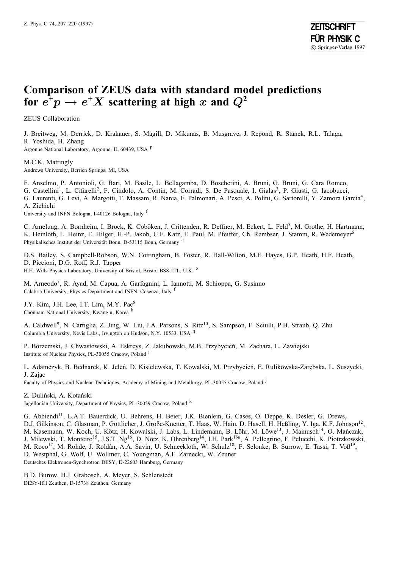# **Comparison of ZEUS data with standard model predictions for**  $e^{\frac{1}{t}}p \rightarrow e^{\frac{1}{t}}X$  **scattering at high** *x* **and**  $Q^2$

ZEUS Collaboration

J. Breitweg, M. Derrick, D. Krakauer, S. Magill, D. Mikunas, B. Musgrave, J. Repond, R. Stanek, R.L. Talaga, R. Yoshida, H. Zhang

Argonne National Laboratory, Argonne, IL 60439, USA <sup>p</sup>

#### M.C.K. Mattingly Andrews University, Berrien Springs, MI, USA

F. Anselmo, P. Antonioli, G. Bari, M. Basile, L. Bellagamba, D. Boscherini, A. Bruni, G. Bruni, G. Cara Romeo,

G. Castellini<sup>1</sup>, L. Cifarelli<sup>2</sup>, F. Cindolo, A. Contin, M. Corradi, S. De Pasquale, I. Gialas<sup>3</sup>, P. Giusti, G. Iacobucci,

G. Laurenti, G. Levi, A. Margotti, T. Massam, R. Nania, F. Palmonari, A. Pesci, A. Polini, G. Sartorelli, Y. Zamora Garcia4, A. Zichichi

University and INFN Bologna, I-40126 Bologna, Italy <sup>f</sup>

C. Amelung, A. Bornheim, I. Brock, K. Coböken, J. Crittenden, R. Deffner, M. Eckert, L. Feld<sup>5</sup>, M. Grothe, H. Hartmann, K. Heinloth, L. Heinz, E. Hilger, H.-P. Jakob, U.F. Katz, E. Paul, M. Pfeiffer, Ch. Rembser, J. Stamm, R. Wedemeyer<sup>6</sup> Physikalisches Institut der Universität Bonn, D-53115 Bonn, Germany c

D.S. Bailey, S. Campbell-Robson, W.N. Cottingham, B. Foster, R. Hall-Wilton, M.E. Hayes, G.P. Heath, H.F. Heath, D. Piccioni, D.G. Roff, R.J. Tapper H.H. Wills Physics Laboratory, University of Bristol, Bristol BS8 1TL, U.K. <sup>o</sup>

M. Arneodo7, R. Ayad, M. Capua, A. Garfagnini, L. Iannotti, M. Schioppa, G. Susinno Calabria University, Physics Department and INFN, Cosenza, Italy <sup>f</sup>

J.Y. Kim, J.H. Lee, I.T. Lim, M.Y. Pac<sup>8</sup> Chonnam National University, Kwangju, Korea <sup>h</sup>

A. Caldwell<sup>9</sup>, N. Cartiglia, Z. Jing, W. Liu, J.A. Parsons, S. Ritz<sup>10</sup>, S. Sampson, F. Sciulli, P.B. Straub, Q. Zhu Columbia University, Nevis Labs., Irvington on Hudson, N.Y. 10533, USA <sup>q</sup>

P. Borzemski, J. Chwastowski, A. Eskreys, Z. Jakubowski, M.B. Przybycien, M. Zachara, L. Zawiejski ´ Institute of Nuclear Physics, PL-30055 Cracow, Poland <sup>j</sup>

L. Adamczyk, B. Bednarek, K. Jeleń, D. Kisielewska, T. Kowalski, M. Przybycień, E. Rulikowska-Zarębska, L. Suszycki, J. Zajac

Faculty of Physics and Nuclear Techniques, Academy of Mining and Metallurgy, PL-30055 Cracow, Poland <sup>j</sup>

Z. Duliński, A. Kotański

Jagellonian University, Department of Physics, PL-30059 Cracow, Poland <sup>k</sup>

G. Abbiendi11, L.A.T. Bauerdick, U. Behrens, H. Beier, J.K. Bienlein, G. Cases, O. Deppe, K. Desler, G. Drews, D.J. Gilkinson, C. Glasman, P. Göttlicher, J. Große-Knetter, T. Haas, W. Hain, D. Hasell, H. Heßling, Y. Iga, K.F. Johnson<sup>12</sup>, M. Kasemann, W. Koch, U. Kötz, H. Kowalski, J. Labs, L. Lindemann, B. Löhr, M. Löwe<sup>13</sup>, J. Mainusch<sup>14</sup>, O. Manczak, J. Milewski, T. Monteiro<sup>15</sup>, J.S.T. Ng<sup>16</sup>, D. Notz, K. Ohrenberg<sup>14</sup>, I.H. Park<sup>16a</sup>, A. Pellegrino, F. Pelucchi, K. Piotrzkowski, M. Roco<sup>17</sup>, M. Rohde, J. Roldán, A.A. Savin, U. Schneekloth, W. Schulz<sup>18</sup>, F. Selonke, B. Surrow, E. Tassi, T. Voß<sup>19</sup>, D. Westphal, G. Wolf, U. Wollmer, C. Youngman, A.F. Zarnecki, W. Zeuner Deutsches Elektronen-Synchrotron DESY, D-22603 Hamburg, Germany

B.D. Burow, H.J. Grabosch, A. Meyer, S. Schlenstedt DESY-IfH Zeuthen, D-15738 Zeuthen, Germany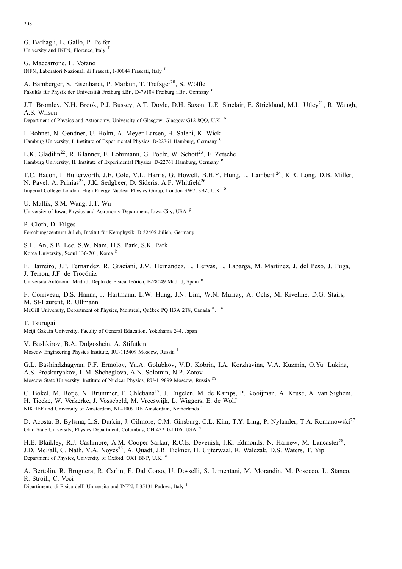208

G. Barbagli, E. Gallo, P. Pelfer University and INFN, Florence, Italy <sup>1</sup>

G. Maccarrone, L. Votano INFN, Laboratori Nazionali di Frascati, I-00044 Frascati, Italy <sup>f</sup>

A. Bamberger, S. Eisenhardt, P. Markun, T. Trefzger<sup>20</sup>, S. Wölfle Fakultät für Physik der Universität Freiburg i.Br., D-79104 Freiburg i.Br., Germany <sup>c</sup>

J.T. Bromley, N.H. Brook, P.J. Bussey, A.T. Doyle, D.H. Saxon, L.E. Sinclair, E. Strickland, M.L. Utley<sup>21</sup>, R. Waugh, A.S. Wilson Department of Physics and Astronomy, University of Glasgow, Glasgow G12 8OO, U.K. <sup>o</sup>

I. Bohnet, N. Gendner, U. Holm, A. Meyer-Larsen, H. Salehi, K. Wick Hamburg University, I. Institute of Experimental Physics, D-22761 Hamburg, Germany <sup>c</sup>

L.K. Gladilin<sup>22</sup>, R. Klanner, E. Lohrmann, G. Poelz, W. Schott<sup>23</sup>, F. Zetsche Hamburg University, II. Institute of Experimental Physics, D-22761 Hamburg, Germany <sup>c</sup>

T.C. Bacon, I. Butterworth, J.E. Cole, V.L. Harris, G. Howell, B.H.Y. Hung, L. Lamberti<sup>24</sup>, K.R. Long, D.B. Miller, N. Pavel, A. Prinias<sup>25</sup>, J.K. Sedgbeer, D. Sideris, A.F. Whitfield<sup>26</sup> Imperial College London, High Energy Nuclear Physics Group, London SW7, 3BZ, U.K. <sup>o</sup>

U. Mallik, S.M. Wang, J.T. Wu University of Iowa, Physics and Astronomy Department, Iowa City, USA <sup>p</sup>

P. Cloth, D. Filges Forschungszentrum Jülich, Institut für Kernphysik, D-52405 Jülich, Germany

S.H. An, S.B. Lee, S.W. Nam, H.S. Park, S.K. Park Korea University, Seoul 136-701, Korea <sup>h</sup>

F. Barreiro, J.P. Fernandez, R. Graciani, J.M. Hernández, L. Hervás, L. Labarga, M. Martinez, J. del Peso, J. Puga, J. Terron, J.F. de Trocóniz Universita Autónoma Madrid, Depto de Física Teóríca, E-28049 Madrid, Spain <sup>n</sup>

F. Corriveau, D.S. Hanna, J. Hartmann, L.W. Hung, J.N. Lim, W.N. Murray, A. Ochs, M. Riveline, D.G. Stairs, M. St-Laurent, R. Ullmann McGill University, Department of Physics, Montréal, Québec PQ H3A 2T8, Canada<sup>a</sup>, <sup>b</sup>

### T. Tsurugai

Meiji Gakuin University, Faculty of General Education, Yokohama 244, Japan

V. Bashkirov, B.A. Dolgoshein, A. Stifutkin Moscow Engineering Physics Institute, RU-115409 Mosocw, Russia <sup>l</sup>

G.L. Bashindzhagyan, P.F. Ermolov, Yu.A. Golubkov, V.D. Kobrin, I.A. Korzhavina, V.A. Kuzmin, O.Yu. Lukina, A.S. Proskuryakov, L.M. Shcheglova, A.N. Solomin, N.P. Zotov Moscow State University, Institute of Nuclear Physics, RU-119899 Moscow, Russia <sup>m</sup>

C. Bokel, M. Botje, N. Brümmer, F. Chlebana<sup>17</sup>, J. Engelen, M. de Kamps, P. Kooijman, A. Kruse, A. van Sighem, H. Tiecke, W. Verkerke, J. Vossebeld, M. Vreeswijk, L. Wiggers, E. de Wolf NIKHEF and University of Amsterdam, NL-1009 DB Amsterdam, Netherlands <sup>i</sup>

D. Acosta, B. Bylsma, L.S. Durkin, J. Gilmore, C.M. Ginsburg, C.L. Kim, T.Y. Ling, P. Nylander, T.A. Romanowski<sup>27</sup> Ohio State University, Physics Department, Columbus, OH 43210-1106, USA <sup>p</sup>

H.E. Blaikley, R.J. Cashmore, A.M. Cooper-Sarkar, R.C.E. Devenish, J.K. Edmonds, N. Harnew, M. Lancaster<sup>28</sup>. J.D. McFall, C. Nath, V.A. Noyes<sup>25</sup>, A. Quadt, J.R. Tickner, H. Uijterwaal, R. Walczak, D.S. Waters, T. Yip Department of Physics, University of Oxford, OX1 BNP, U.K. <sup>o</sup>

A. Bertolin, R. Brugnera, R. Carlin, F. Dal Corso, U. Dosselli, S. Limentani, M. Morandin, M. Posocco, L. Stanco, R. Stroili, C. Voci

Dipartimento di Fisica dell' Universita and INFN, I-35131 Padova, Italy <sup>f</sup>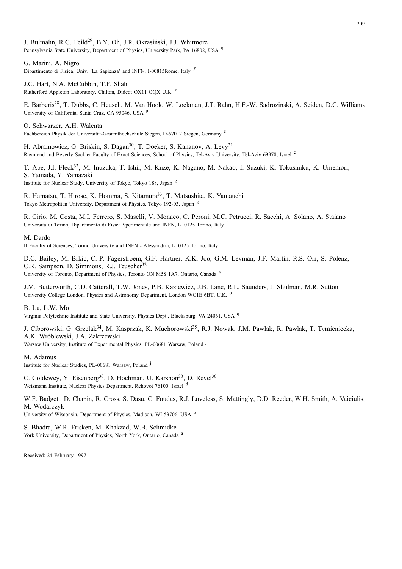J. Bulmahn, R.G. Feild<sup>29</sup>, B.Y. Oh, J.R. Okrasiński, J.J. Whitmore Pennsylvania State University, Department of Physics, University Park, PA 16802, USA <sup>q</sup>

G. Marini, A. Nigro Dipartimento di Fisica, Univ. 'La Sapienza' and INFN, I-00815Rome, Italy  $f$ 

J.C. Hart, N.A. McCubbin, T.P. Shah Rutherford Appleton Laboratory, Chilton, Didcot OX11 OQX U.K. <sup>o</sup>

E. Barberis<sup>28</sup>, T. Dubbs, C. Heusch, M. Van Hook, W. Lockman, J.T. Rahn, H.F.-W. Sadrozinski, A. Seiden, D.C. Williams University of California, Santa Cruz, CA 95046, USA <sup>p</sup>

O. Schwarzer, A.H. Walenta Fachbereich Physik der Universität-Gesamthochschule Siegen, D-57012 Siegen, Germany<sup>c</sup>

H. Abramowicz, G. Briskin, S. Dagan<sup>30</sup>, T. Doeker, S. Kananov, A. Levy<sup>31</sup> Raymond and Beverly Sackler Faculty of Exact Sciences, School of Physics, Tel-Aviv University, Tel-Aviv 69978, Israel <sup>e</sup>

T. Abe, J.I. Fleck<sup>32</sup>, M. Inuzuka, T. Ishii, M. Kuze, K. Nagano, M. Nakao, I. Suzuki, K. Tokushuku, K. Umemori, S. Yamada, Y. Yamazaki Institute for Nuclear Study, University of Tokyo, Tokyo 188, Japan <sup>g</sup>

R. Hamatsu, T. Hirose, K. Homma, S. Kitamura<sup>33</sup>, T. Matsushita, K. Yamauchi Tokyo Metropolitan University, Department of Physics, Tokyo 192-03, Japan <sup>g</sup>

R. Cirio, M. Costa, M.I. Ferrero, S. Maselli, V. Monaco, C. Peroni, M.C. Petrucci, R. Sacchi, A. Solano, A. Staiano Universita di Torino, Dipartimento di Fisica Sperimentale and INFN, I-10125 Torino, Italy <sup>1</sup>

#### M. Dardo

II Faculty of Sciences, Torino University and INFN - Alessandria, I-10125 Torino, Italy <sup>f</sup>

D.C. Bailey, M. Brkic, C.-P. Fagerstroem, G.F. Hartner, K.K. Joo, G.M. Levman, J.F. Martin, R.S. Orr, S. Polenz, C.R. Sampson, D. Simmons, R.J. Teuscher<sup>32</sup> University of Toronto, Department of Physics, Toronto ON M5S 1A7, Ontario, Canada <sup>a</sup>

J.M. Butterworth, C.D. Catterall, T.W. Jones, P.B. Kaziewicz, J.B. Lane, R.L. Saunders, J. Shulman, M.R. Sutton University College London, Physics and Astronomy Department, London WC1E 6BT, U.K. <sup>o</sup>

B. Lu, L.W. Mo

Virginia Polytechnic Institute and State University, Physics Dept., Blacksburg, VA 24061, USA <sup>q</sup>

J. Ciborowski, G. Grzelak<sup>34</sup>, M. Kasprzak, K. Muchorowski<sup>35</sup>, R.J. Nowak, J.M. Pawlak, R. Pawlak, T. Tymieniecka, A.K. Wróblewski, J.A. Zakrzewski

Warsaw University, Institute of Experimental Physics, PL-00681 Warsaw, Poland <sup>j</sup>

M. Adamus

Institute for Nuclear Studies, PL-00681 Warsaw, Poland <sup>j</sup>

C. Coldewey, Y. Eisenberg<sup>30</sup>, D. Hochman, U. Karshon<sup>30</sup>, D. Revel<sup>30</sup> Weizmann Institute, Nuclear Physics Department, Rehovot 76100, Israel <sup>d</sup>

W.F. Badgett, D. Chapin, R. Cross, S. Dasu, C. Foudas, R.J. Loveless, S. Mattingly, D.D. Reeder, W.H. Smith, A. Vaiciulis, M. Wodarczyk

University of Wisconsin, Department of Physics, Madison, WI 53706, USA P

S. Bhadra, W.R. Frisken, M. Khakzad, W.B. Schmidke York University, Department of Physics, North York, Ontario, Canada <sup>a</sup>

Received: 24 February 1997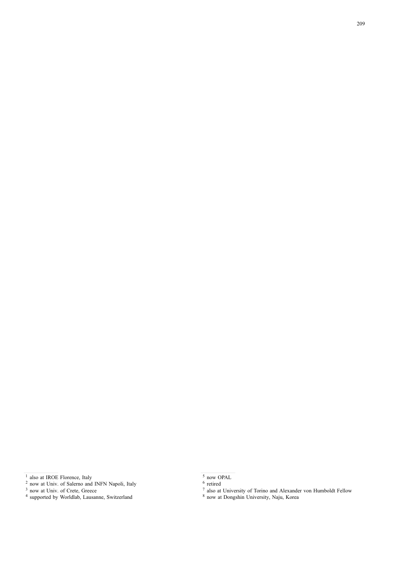<sup>&</sup>lt;sup>1</sup> also at IROE Florence, Italy

<sup>&</sup>lt;sup>2</sup> now at Univ. of Salerno and INFN Napoli, Italy

<sup>&</sup>lt;sup>3</sup> now at Univ. of Crete, Greece

supported by Worldlab, Lausanne, Switzerland

now OPAL

retired

also at University of Torino and Alexander von Humboldt Fellow

now at Dongshin University, Naju, Korea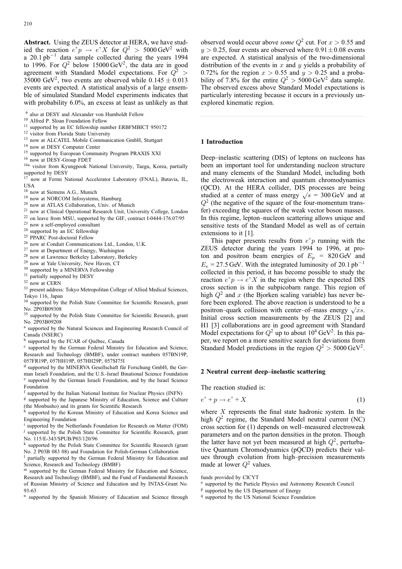**Abstract.** Using the ZEUS detector at HERA, we have studied the reaction  $e^+p \rightarrow e^+X$  for  $Q^2 > 5000 \text{ GeV}^2$  with a 20.1 pb−<sup>1</sup> data sample collected during the years 1994 to 1996. For  $Q^2$  below 15000 GeV<sup>2</sup>, the data are in good agreement with Standard Model expectations. For  $Q^2$  > 35000 GeV<sup>2</sup>, two events are observed while  $0.145 \pm 0.013$ events are expected. A statistical analysis of a large ensemble of simulated Standard Model experiments indicates that with probability 6.0%, an excess at least as unlikely as that

- <sup>13</sup> now at ALCATEL Mobile Communication GmbH, Stuttgart
- <sup>14</sup> now at DESY Computer Center
- <sup>15</sup> supported by European Community Program PRAXIS XXI
- <sup>16</sup> now at DESY-Group FDET
- 16a visitor from Kyungpook National University, Taegu, Korea, partially supported by DESY
- <sup>17</sup> now at Fermi National Accelerator Laboratory (FNAL), Batavia, IL, USA
- <sup>18</sup> now at Siemens A.G., Munich
- <sup>19</sup> now at NORCOM Infosystems, Hamburg
- <sup>20</sup> now at ATLAS Collaboration, Univ. of Munich
- <sup>21</sup> now at Clinical Operational Research Unit, University College, London
- <sup>22</sup> on leave from MSU, supported by the GIF, contract I-0444-176.07/95
- <sup>23</sup> now a self-employed consultant
- <sup>24</sup> supported by an EC fellowship
- <sup>25</sup> PPARC Post-doctoral Fellow
- <sup>26</sup> now at Conduit Communications Ltd., London, U.K.
- <sup>27</sup> now at Department of Energy, Washington
- <sup>28</sup> now at Lawrence Berkeley Laboratory, Berkeley
- <sup>29</sup> now at Yale University, New Haven, CT
- <sup>30</sup> supported by a MINERVA Fellowship
- <sup>31</sup> partially supported by DESY
- <sup>32</sup> now at CERN
- <sup>33</sup> present address: Tokyo Metropolitan College of Allied Medical Sciences, Tokyo 116, Japan
- <sup>34</sup> supported by the Polish State Committee for Scientific Research, grant No. 2P03B09308
- <sup>35</sup> supported by the Polish State Committee for Scientific Research, grant No. 2P03B09208
- <sup>a</sup> supported by the Natural Sciences and Engineering Research Council of Canada (NSERC)
- <sup>b</sup> supported by the FCAR of Québec, Canada

<sup>c</sup> supported by the German Federal Ministry for Education and Science, Research and Technology (BMBF), under contract numbers 057BN19P, 057FR19P, 057HH19P, 057HH29P, 057SI75I

<sup>d</sup> supported by the MINERVA Gesellschaft für Forschung GmbH, the German Israeli Foundation, and the U.S.-Israel Binational Science Foundation <sup>e</sup> supported by the German Israeli Foundation, and by the Israel Science Foundation

- <sup>f</sup> supported by the Italian National Institute for Nuclear Physics (INFN) <sup>g</sup> supported by the Japanese Ministry of Education, Science and Culture
- (the Monbusho) and its grants for Scientific Research

supported by the Korean Ministry of Education and Korea Science and Engineering Foundation

<sup>i</sup> supported by the Netherlands Foundation for Research on Matter (FOM) <sup>j</sup> supported by the Polish State Committee for Scientific Research, grant No. 115/E-343/SPUB/P03/120/96

<sup>k</sup> supported by the Polish State Committee for Scientific Research (grant No. 2 P03B 083 08) and Foundation for Polish-German Collaboration

partially supported by the German Federal Ministry for Education and Science, Research and Technology (BMBF)

m supported by the German Federal Ministry for Education and Science, Research and Technology (BMBF), and the Fund of Fundamental Research of Russian Ministry of Science and Education and by INTAS-Grant No. 93-63

supported by the Spanish Ministry of Education and Science through

observed would occur above *some*  $Q^2$  cut. For  $x > 0.55$  and  $y > 0.25$ , four events are observed where  $0.91 \pm 0.08$  events are expected. A statistical analysis of the two-dimensional distribution of the events in  $x$  and  $y$  yields a probability of 0.72% for the region  $x > 0.55$  and  $y > 0.25$  and a probability of 7.8% for the entire  $Q^2 > 5000 \,\text{GeV}^2$  data sample. The observed excess above Standard Model expectations is particularly interesting because it occurs in a previously unexplored kinematic region.

#### **1 Introduction**

Deep–inelastic scattering (DIS) of leptons on nucleons has been an important tool for understanding nucleon structure and many elements of the Standard Model, including both the electroweak interaction and quantum chromodynamics (QCD). At the HERA collider, DIS processes are being studied at a center of mass energy  $\sqrt{s}$  = 300 GeV and at  $Q<sup>2</sup>$  (the negative of the square of the four-momentum transfer) exceeding the squares of the weak vector boson masses. In this regime, lepton–nucleon scattering allows unique and sensitive tests of the Standard Model as well as of certain extensions to it [1].

This paper presents results from  $e^+p$  running with the ZEUS detector during the years 1994 to 1996, at proton and positron beam energies of  $E_p = 820 \text{ GeV}$  and  $E_e = 27.5$  GeV. With the integrated luminosity of 20.1 pb<sup>-1</sup> collected in this period, it has become possible to study the reaction  $e^+p \to e^+X$  in the region where the expected DIS cross section is in the subpicobarn range. This region of high  $Q^2$  and x (the Bjorken scaling variable) has never before been explored. The above reaction is understood to be a positron–quark collision with center–of–mass energy  $\sqrt{xs}$ . Initial cross section measurements by the ZEUS [2] and H1 [3] collaborations are in good agreement with Standard Model expectations for  $Q^2$  up to about  $10^4$  GeV<sup>2</sup>. In this paper, we report on a more sensitive search for deviations from Standard Model predictions in the region  $Q^2 > 5000 \,\text{GeV}^2$ .

#### **2 Neutral current deep–inelastic scattering**

The reaction studied is:

$$
e^+ + p \to e^+ + X \tag{1}
$$

where  $X$  represents the final state hadronic system. In the high  $Q^2$  regime, the Standard Model neutral current (NC) cross section for (1) depends on well–measured electroweak parameters and on the parton densities in the proton. Though the latter have not yet been measured at high  $Q^2$ , perturbative Quantum Chromodynamics (pQCD) predicts their values through evolution from high–precision measurements made at lower  $Q^2$  values.

- <sup>o</sup> supported by the Particle Physics and Astronomy Research Council
- <sup>p</sup> supported by the US Department of Energy
- <sup>q</sup> supported by the US National Science Foundation

<sup>9</sup> also at DESY and Alexander von Humboldt Fellow

<sup>&</sup>lt;sup>10</sup> Alfred P. Sloan Foundation Fellow

<sup>&</sup>lt;sup>11</sup> supported by an EC fellowship number ERBFMBICT 950172

<sup>&</sup>lt;sup>12</sup> visitor from Florida State University

funds provided by CICYT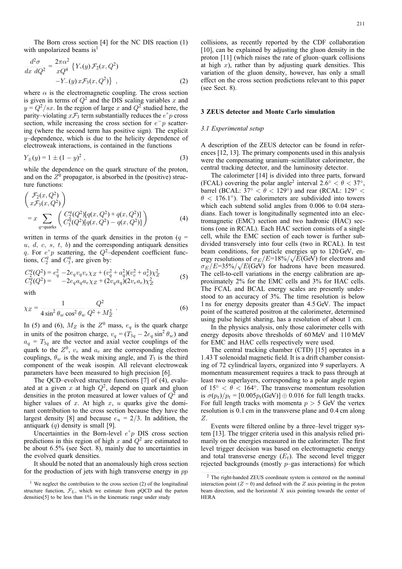The Born cross section [4] for the NC DIS reaction (1) with unpolarized beams is<sup>1</sup>

$$
\frac{d^2\sigma}{dx\ dQ^2} = \frac{2\pi\alpha^2}{xQ^4} \left\{ Y_+(y) \mathcal{F}_2(x, Q^2) -Y_-(y) x \mathcal{F}_3(x, Q^2) \right\},\tag{2}
$$

where  $\alpha$  is the electromagnetic coupling. The cross section is given in terms of  $Q^2$  and the DIS scaling variables x and  $y = Q^2/sx$ . In the region of large x and  $Q^2$  studied here, the parity–violating  $x\mathcal{F}_3$  term substantially reduces the  $e^+p$  cross section, while increasing the cross section for  $e^-p$  scattering (where the second term has positive sign). The explicit  $y$ –dependence, which is due to the helicity dependence of electroweak interactions, is contained in the functions

$$
Y_{\pm}(y) = 1 \pm (1 - y)^2 , \qquad (3)
$$

while the dependence on the quark structure of the proton, and on the  $Z^0$  propagator, is absorbed in the (positive) structure functions:

$$
\begin{pmatrix}\n\mathcal{F}_2(x, Q^2) \\
x\mathcal{F}_3(x, Q^2)\n\end{pmatrix} = x \sum_{q=\text{quarks}} \begin{pmatrix}\nC_2^q (Q^2) [q(x, Q^2) + \overline{q}(x, Q^2)] \\
C_3^q (Q^2) [q(x, Q^2) - \overline{q}(x, Q^2)]\n\end{pmatrix}
$$
\n(4)

written in terms of the quark densities in the proton ( $q =$  $u, d, c, s, t, b$  and the corresponding antiquark densities  $\overline{q}$ . For  $e^+p$  scattering, the  $Q^2$ -dependent coefficient functions,  $C_2^q$  and  $C_3^q$ , are given by:

$$
C_2^q(Q^2) = e_q^2 - 2e_q v_q v_e \chi_Z + (v_q^2 + a_q^2)(v_e^2 + a_e^2) \chi_Z^2
$$
  
\n
$$
C_3^q(Q^2) = -2e_q a_q a_e \chi_Z + (2v_q a_q)(2v_e a_e) \chi_Z^2
$$
\n(5)

with

$$
\chi_Z = \frac{1}{4\sin^2\theta_w \cos^2\theta_w} \frac{Q^2}{Q^2 + M_Z^2} \ . \tag{6}
$$

In (5) and (6),  $M_Z$  is the  $Z^0$  mass,  $e_q$  is the quark charge in units of the positron charge,  $v_q = (T_{3q} - 2e_q \sin^2 \theta_w)$  and  $a_q = T_{3q}$  are the vector and axial vector couplings of the quark to the  $Z^0$ ,  $v_e$  and  $a_e$  are the corresponding electron couplings,  $\theta_w$  is the weak mixing angle, and  $T_3$  is the third component of the weak isospin. All relevant electroweak parameters have been measured to high precision [6].

The QCD–evolved structure functions [7] of (4), evaluated at a given x at high  $Q^2$ , depend on quark and gluon densities in the proton measured at lower values of  $Q^2$  and higher values of x. At high  $x$ ,  $u$  quarks give the dominant contribution to the cross section because they have the largest density [8] and because  $e_u = 2/3$ . In addition, the antiquark  $(\bar{q})$  density is small [9].

Uncertainties in the Born-level  $e^+p$  DIS cross section predictions in this region of high x and  $Q^2$  are estimated to be about 6.5% (see Sect. 8), mainly due to uncertainties in the evolved quark densities.

It should be noted that an anomalously high cross section for the production of jets with high transverse energy in  $p\bar{p}$  collisions, as recently reported by the CDF collaboration [10], can be explained by adjusting the gluon density in the proton [11] (which raises the rate of gluon–quark collisions at high  $x$ ), rather than by adjusting quark densities. This variation of the gluon density, however, has only a small effect on the cross section predictions relevant to this paper (see Sect. 8).

#### **3 ZEUS detector and Monte Carlo simulation**

#### *3.1 Experimental setup*

A description of the ZEUS detector can be found in references [12, 13]. The primary components used in this analysis were the compensating uranium–scintillator calorimeter, the central tracking detector, and the luminosity detector.

The calorimeter [14] is divided into three parts, forward (FCAL) covering the polar angle<sup>2</sup> interval  $2.\overline{6\degree} < \theta < 37\degree$ , barrel (BCAL:  $37° < \theta < 129°$ ) and rear (RCAL:  $129° <$  $\theta$  < 176.1°). The calorimeters are subdivided into towers which each subtend solid angles from 0.006 to 0.04 steradians. Each tower is longitudinally segmented into an electromagnetic (EMC) section and two hadronic (HAC) sections (one in RCAL). Each HAC section consists of a single cell, while the EMC section of each tower is further subdivided transversely into four cells (two in RCAL). In test beam conditions, for particle energies up to 120 GeV, energy resolutions of  $\sigma_E/E=18\%/\sqrt{E(GeV)}$  for electrons and  $\sigma_E/E=35\%/\sqrt{E(\text{GeV})}$  for hadrons have been measured. The cell-to-cell variations in the energy calibration are approximately 2% for the EMC cells and 3% for HAC cells. The FCAL and BCAL energy scales are presently understood to an accuracy of 3%. The time resolution is below 1 ns for energy deposits greater than 4.5 GeV. The impact point of the scattered positron at the calorimeter, determined using pulse height sharing, has a resolution of about 1 cm.

In the physics analysis, only those calorimeter cells with energy deposits above thresholds of 60 MeV and 110 MeV for EMC and HAC cells respectively were used.

The central tracking chamber (CTD) [15] operates in a 1.43 T solenoidal magnetic field. It is a drift chamber consisting of 72 cylindrical layers, organized into 9 superlayers. A momentum measurement requires a track to pass through at least two superlayers, corresponding to a polar angle region of  $15° < \theta < 164°$ . The transverse momentum resolution is  $\sigma(p_t)/p_t = [0.005p_t(\text{GeV})] \oplus 0.016$  for full length tracks. For full length tracks with momenta  $p > 5$  GeV the vertex resolution is 0.1 cm in the transverse plane and 0.4 cm along Z.

Events were filtered online by a three–level trigger system [13]. The trigger criteria used in this analysis relied primarily on the energies measured in the calorimeter. The first level trigger decision was based on electromagnetic energy and total transverse energy  $(E_t)$ . The second level trigger rejected backgrounds (mostly  $p$ –gas interactions) for which

<sup>&</sup>lt;sup>1</sup> We neglect the contribution to the cross section (2) of the longitudinal structure function,  $\mathcal{F}_L$ , which we estimate from pQCD and the parton densities[5] to be less than 1% in the kinematic range under study

<sup>2</sup> The right-handed ZEUS coordinate system is centered on the nominal interaction point ( $Z = 0$ ) and defined with the Z axis pointing in the proton beam direction, and the horizontal  $X$  axis pointing towards the center of HERA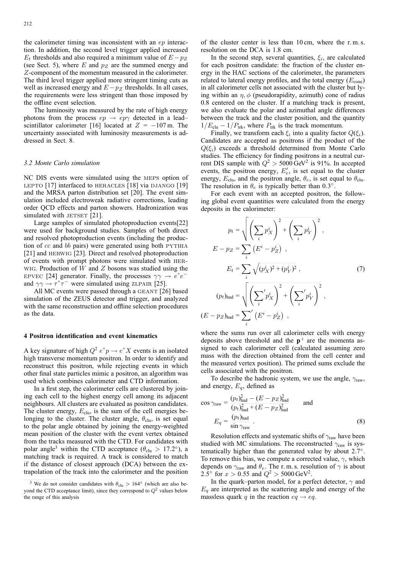the calorimeter timing was inconsistent with an ep interaction. In addition, the second level trigger applied increased  $E_t$  thresholds and also required a minimum value of  $E - p_Z$ (see Sect. 5), where  $E$  and  $p_Z$  are the summed energy and Z-component of the momentum measured in the calorimeter. The third level trigger applied more stringent timing cuts as well as increased energy and  $E - p_Z$  thresholds. In all cases, the requirements were less stringent than those imposed by the offline event selection.

The luminosity was measured by the rate of high energy photons from the process  $ep \rightarrow ep\gamma$  detected in a lead– scintillator calorimeter [16] located at  $Z = -107$  m. The uncertainty associated with luminosity measurements is addressed in Sect. 8.

#### *3.2 Monte Carlo simulation*

NC DIS events were simulated using the meps option of LEPTO [17] interfaced to HERACLES [18] via DJANGO [19] and the MRSA parton distribution set [20]. The event simulation included electroweak radiative corrections, leading order QCD effects and parton showers. Hadronization was simulated with  $JETSET$  [21].

Large samples of simulated photoproduction events[22] were used for background studies. Samples of both direct and resolved photoproduction events (including the production of  $c\bar{c}$  and bb pairs) were generated using both PYTHIA [21] and herwig [23]. Direct and resolved photoproduction of events with prompt photons were simulated with her-WIG. Production of  $W$  and  $Z$  bosons was studied using the EPVEC [24] generator. Finally, the processes  $\gamma \gamma \rightarrow e^+e^$ and  $\gamma\gamma \rightarrow \tau^+\tau^-$  were simulated using ZLPAIR [25].

All MC events were passed through a GEANT [26] based simulation of the ZEUS detector and trigger, and analyzed with the same reconstruction and offline selection procedures as the data.

# **4 Positron identification and event kinematics**

A key signature of high  $Q^2 e^+p \rightarrow e^+X$  events is an isolated high transverse momentum positron. In order to identify and reconstruct this positron, while rejecting events in which other final state particles mimic a positron, an algorithm was used which combines calorimeter and CTD information.

In a first step, the calorimeter cells are clustered by joining each cell to the highest energy cell among its adjacent neighbours. All clusters are evaluated as positron candidates. The cluster energy,  $E_{\text{clu}}$ , is the sum of the cell energies belonging to the cluster. The cluster angle,  $\theta_{\text{clu}}$ , is set equal to the polar angle obtained by joining the energy-weighted mean position of the cluster with the event vertex obtained from the tracks measured with the CTD. For candidates with polar angle<sup>3</sup> within the CTD acceptance ( $\theta_{\rm ch} > 17.2^{\circ}$ ), a matching track is required. A track is considered to match if the distance of closest approach (DCA) between the extrapolation of the track into the calorimeter and the position

of the cluster center is less than 10 cm, where the r. m. s. resolution on the DCA is 1.8 cm.

In the second step, several quantities,  $\xi_i$ , are calculated for each positron candidate: the fraction of the cluster energy in the HAC sections of the calorimeter, the parameters related to lateral energy profiles, and the total energy  $(E_{cone})$ in all calorimeter cells not associated with the cluster but lying within an  $\eta$ ,  $\phi$  (pseudorapidity, azimuth) cone of radius 0.8 centered on the cluster. If a matching track is present, we also evaluate the polar and azimuthal angle differences between the track and the cluster position, and the quantity  $1/E_{\text{clu}} - 1/P_{\text{trk}}$ , where  $P_{\text{trk}}$  is the track momentum.

Finally, we transform each  $\xi_i$  into a quality factor  $Q(\xi_i)$ . Candidates are accepted as positrons if the product of the  $Q(\xi_i)$  exceeds a threshold determined from Monte Carlo studies. The efficiency for finding positrons in a neutral current DIS sample with  $Q^2 > 5000 \text{ GeV}^2$  is 91%. In accepted events, the positron energy,  $E'_e$ , is set equal to the cluster energy,  $E_{\text{clu}}$ , and the positron angle,  $\theta_e$ , is set equal to  $\theta_{\text{clu}}$ . The resolution in  $\theta_e$  is typically better than 0.3°.

For each event with an accepted positron, the following global event quantities were calculated from the energy deposits in the calorimeter:

$$
p_t = \sqrt{\left(\sum_i p_X^i\right)^2 + \left(\sum_i p_Y^i\right)^2},
$$
  
\n
$$
E - pz = \sum_i \left(E^i - p_Z^i\right),
$$
  
\n
$$
E_t = \sum_i \sqrt{(p_X^i)^2 + (p_Y^i)^2},
$$
  
\n
$$
(p_t)_{\text{had}} = \sqrt{\left(\sum_i' p_X^i\right)^2 + \left(\sum_i' p_Y^i\right)^2},
$$
  
\n
$$
(E - pz)_{\text{had}} = \sum_i' \left(E^i - p_Z^i\right),
$$
\n(7)

where the sums run over all calorimeter cells with energy deposits above threshold and the  $p^i$  are the momenta assigned to each calorimeter cell (calculated assuming zero mass with the direction obtained from the cell center and the measured vertex position). The primed sums exclude the cells associated with the positron.

To describe the hadronic system, we use the angle,  $\gamma_{\rm raw}$ , and energy,  $E_q$ , defined as

$$
\cos \gamma_{\text{raw}} = \frac{(p_t)_{\text{had}}^2 - (E - p_Z)_{\text{had}}^2}{(p_t)_{\text{had}}^2 + (E - p_Z)_{\text{had}}^2} \quad \text{and}
$$

$$
E_q = \frac{(p_t)_{\text{had}}}{\sin \gamma_{\text{raw}}} \tag{8}
$$

Resolution effects and systematic shifts of  $\gamma_{\text{raw}}$  have been studied with MC simulations. The reconstructed  $\gamma_{\text{raw}}$  is systematically higher than the generated value by about 2.7◦. To remove this bias, we compute a corrected value,  $\gamma$ , which depends on  $\gamma_{\text{raw}}$  and  $\theta_e$ . The r.m.s. resolution of  $\gamma$  is about 2.5° for  $x > 0.55$  and  $Q^2 > 5000 \,\text{GeV}^2$ .

In the quark–parton model, for a perfect detector,  $\gamma$  and  $E_q$  are interpreted as the scattering angle and energy of the massless quark q in the reaction  $eq \rightarrow eq$ .

<sup>&</sup>lt;sup>3</sup> We do not consider candidates with  $\theta_{\text{clu}} > 164^\circ$  (which are also beyond the CTD acceptance limit), since they correspond to  $Q^2$  values below the range of this analysis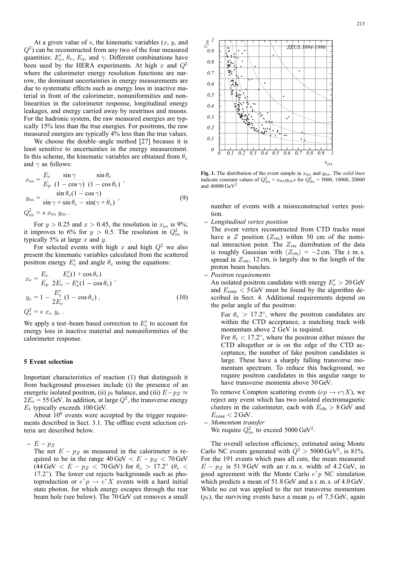At a given value of  $s$ , the kinematic variables  $(x, y, z)$  and  $(Q<sup>2</sup>)$  can be reconstructed from any two of the four measured quantities:  $E'_e$ ,  $\theta_e$ ,  $E_q$ , and  $\gamma$ . Different combinations have been used by the HERA experiments. At high x and  $Q^2$ where the calorimeter energy resolution functions are narrow, the dominant uncertainties in energy measurements are due to systematic effects such as energy loss in inactive material in front of the calorimeter, nonuniformities and nonlinearities in the calorimeter response, longitudinal energy leakages, and energy carried away by neutrinos and muons. For the hadronic system, the raw measured energies are typically 15% less than the true energies. For positrons, the raw measured energies are typically 4% less than the true values.

We choose the double–angle method [27] because it is least sensitive to uncertainties in the energy measurement. In this scheme, the kinematic variables are obtained from  $\theta_e$ and  $\gamma$  as follows:

$$
x_{DA} = \frac{E_e}{E_p} \frac{\sin \gamma}{(1 - \cos \gamma)} \frac{\sin \theta_e}{(1 - \cos \theta_e)},
$$
  
\n
$$
y_{DA} = \frac{\sin \theta_e (1 - \cos \gamma)}{\sin \gamma + \sin \theta_e - \sin(\gamma + \theta_e)},
$$
  
\n
$$
Q_{DA}^2 = s x_{DA} y_{DA}.
$$
\n(9)

For  $y > 0.25$  and  $x > 0.45$ , the resolution in  $x_{DA}$  is 9%; it improves to 6% for  $y > 0.5$ . The resolution in  $Q_{DA}^2$  is typically 5% at large  $x$  and  $y$ .

For selected events with high x and high  $Q^2$  we also present the kinematic variables calculated from the scattered positron energy  $E_e'$  and angle  $\theta_e$  using the equations:

$$
x_e = \frac{E_e}{E_p} \frac{E'_e (1 + \cos \theta_e)}{2E_e - E'_e (1 - \cos \theta_e)},
$$
  
\n
$$
y_e = 1 - \frac{E'_e}{2E_e} (1 - \cos \theta_e),
$$
  
\n
$$
Q_e^2 = s \ x_e \ y_e .
$$
\n(10)

We apply a test-beam based correction to  $E_e'$  to account for energy loss in inactive material and nonuniformities of the calorimeter response.

#### **5 Event selection**

Important characteristics of reaction (1) that distinguish it from background processes include (i) the presence of an energetic isolated positron, (ii)  $p_t$  balance, and (iii)  $E-p_Z \approx$  $2E_e = 55$  GeV. In addition, at large  $Q^2$ , the transverse energy  $E_t$  typically exceeds 100 GeV.

About  $10^6$  events were accepted by the trigger requirements described in Sect. 3.1. The offline event selection criteria are described below.

**–** <sup>E</sup> <sup>−</sup> <sup>p</sup><sup>Z</sup>

The net  $E - p_Z$  as measured in the calorimeter is required to be in the range  $40 \,\text{GeV} < E - p_Z < 70 \,\text{GeV}$ (44 GeV  $\langle E - p_Z \langle 70 \text{ GeV} \rangle$  for  $\theta_e > 17.2^\circ$  ( $\theta_e <$ 17.2<sup>°</sup>). The lower cut rejects backgrounds such as photoproduction or  $e^+p \rightarrow e^+X$  events with a hard initial state photon, for which energy escapes through the rear beam hole (see below). The 70 GeV cut removes a small



**Fig. 1.** The distribution of the event sample in  $x<sub>DA</sub>$  and  $y<sub>DA</sub>$ . The *solid lines* indicate constant values of  $Q_{DA}^2 = x_{DA} y_{DA} s$  for  $Q_{DA}^2 = 5000, 10000, 20000$ and  $40000 \,\mathrm{GeV}^2$ 

number of events with a misreconstructed vertex position.

**–** *Longitudinal vertex position*

The event vertex reconstructed from CTD tracks must have a Z position  $(Z_{\text{vtx}})$  within 50 cm of the nominal interaction point. The  $Z_{\text{vtx}}$  distribution of the data is roughly Gaussian with  $\langle Z_{\text{vtx}} \rangle = -2 \text{ cm}$ . The r.m.s. spread in  $Z_{\text{vtx}}$ , 12 cm, is largely due to the length of the proton beam bunches.

**–** *Positron requirements*

An isolated positron candidate with energy  $E'_e > 20$  GeV and  $E_{\text{cone}} < 5$  GeV must be found by the algorithm described in Sect. 4. Additional requirements depend on the polar angle of the positron:

For  $\theta_e > 17.2^\circ$ , where the positron candidates are within the CTD acceptance, a matching track with momentum above 2 GeV is required. For  $\theta_e$  < 17.2°, where the positron either misses the CTD altogether or is on the edge of the CTD acceptance, the number of fake positron candidates is large. These have a sharply falling transverse momentum spectrum. To reduce this background, we require positron candidates in this angular range to have transverse momenta above 30 GeV.

To remove Compton scattering events  $(ep \rightarrow e\gamma X)$ , we reject any event which has two isolated electromagnetic clusters in the calorimeter, each with  $E_{\text{clu}} > 8$  GeV and  $E_{\text{cone}} < 2$  GeV.

**–** *Momentum transfer*

We require  $Q_{DA}^2$  to exceed 5000 GeV<sup>2</sup>.

The overall selection efficiency, estimated using Monte Carlo NC events generated with  $\dot{Q}^2 > 5000 \,\text{GeV}^2$ , is 81%. For the 191 events which pass all cuts, the mean measured  $E - p_Z$  is 51.9 GeV with an r.m.s. width of 4.2 GeV, in good agreement with the Monte Carlo  $e^+p$  NC simulation which predicts a mean of 51.8 GeV and a r. m. s. of 4.0 GeV. While no cut was applied to the net transverse momentum  $(p_t)$ , the surviving events have a mean  $p_t$  of 7.5 GeV, again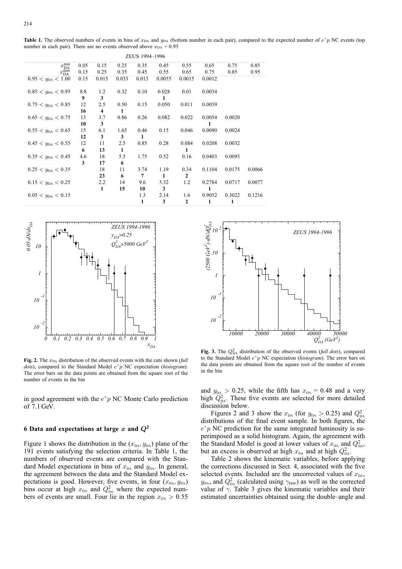| ZEUS 1994-1996                                    |      |       |       |       |        |        |        |        |        |
|---------------------------------------------------|------|-------|-------|-------|--------|--------|--------|--------|--------|
| $x_{\overline{r}}^{\overline{\min}}$<br><b>DA</b> | 0.05 | 0.15  | 0.25  | 0.35  | 0.45   | 0.55   | 0.65   | 0.75   | 0.85   |
| $x_{\text{DA}}^{\text{max}}$                      | 0.15 | 0.25  | 0.35  | 0.45  | 0.55   | 0.65   | 0.75   | 0.85   | 0.95   |
| $0.95 < y_{DA} < 1.00$                            | 0.15 | 0.015 | 0.033 | 0.013 | 0.0055 | 0.0015 | 0.0012 |        |        |
|                                                   |      |       |       |       |        |        |        |        |        |
| $0.85 < y_{DA} < 0.95$                            | 8.8  | 1.2   | 0.32  | 0.10  | 0.028  | 0.01   | 0.0034 |        |        |
|                                                   | 9    | 3     |       |       | 1      |        |        |        |        |
| $0.75 < y_{DA} < 0.85$                            | 12   | 2.5   | 0.50  | 0.15  | 0.050  | 0.011  | 0.0039 |        |        |
|                                                   | 16   | 4     | 1     |       |        |        |        |        |        |
| $0.65 < y_{DA} < 0.75$                            | 13   | 3.7   | 0.86  | 0.26  | 0.082  | 0.022  | 0.0054 | 0.0020 |        |
|                                                   | 10   | 3     |       |       |        |        |        |        |        |
| $0.55 < y_{DA} < 0.65$                            | 15   | 6.1   | 1.65  | 0.46  | 0.15   | 0.046  | 0.0090 | 0.0024 |        |
|                                                   | 12   | 3     | 3     | 1     |        |        |        |        |        |
| $0.45 < y_{DA} < 0.55$                            | 12   | 11    | 2.5   | 0.85  | 0.28   | 0.084  | 0.0208 | 0.0032 |        |
|                                                   | 6    | 13    | 1     |       |        | 1      |        |        |        |
| $0.35 < y_{DA} < 0.45$                            | 4.6  | 18    | 5.5   | 1.75  | 0.52   | 0.16   | 0.0403 | 0.0093 |        |
|                                                   | 3    | 17    | 6     |       |        |        |        |        |        |
| $0.25 < y_{DA} < 0.35$                            |      | 18    | 11    | 3.74  | 1.19   | 0.34   | 0.1104 | 0.0175 | 0.0066 |
|                                                   |      | 23    | 6     | 7     | 1      | 2      |        |        |        |
| $0.15 < y_{DA} < 0.25$                            |      | 2.2   | 14    | 9.6   | 3.32   | 1.2    | 0.2784 | 0.0717 | 0.0077 |
|                                                   |      | 1     | 15    | 10    | 3      |        |        |        |        |
| $0.05 < y_{DA} < 0.15$                            |      |       |       | 1.3   | 2.14   | 1.6    | 0.9052 | 0.3022 | 0.1216 |
|                                                   |      |       |       | 1     | 3      | 2      | 1      | 1      |        |



**Fig. 2.** The  $x_{DA}$  distribution of the observed events with the cuts shown (*full dots*), compared to the Standard Model  $e^+p$  NC expectation (*histogram*). The error bars on the data points are obtained from the square root of the number of events in the bin

in good agreement with the  $e^+p$  NC Monte Carlo prediction of 7.1 GeV.

### **6 Data and expectations at large** *x* **and** *Q***<sup>2</sup>**

Figure 1 shows the distribution in the  $(x_{DA}, y_{DA})$  plane of the 191 events satisfying the selection criteria. In Table 1, the numbers of observed events are compared with the Standard Model expectations in bins of  $x_{DA}$  and  $y_{DA}$ . In general, the agreement between the data and the Standard Model expectations is good. However, five events, in four  $(x_{DA}, y_{DA})$ bins occur at high  $x_{DA}$  and  $Q_{DA}^2$  where the expected numbers of events are small. Four lie in the region  $x_{DA} > 0.55$ 



**Fig. 3.** The  $Q_{DA}^2$  distribution of the observed events (*full dots*), compared to the Standard Model e+p NC expectation (*histogram*). The error bars on the data points are obtained from the square root of the number of events in the bin

and  $y_{DA} > 0.25$ , while the fifth has  $x_{DA} = 0.48$  and a very high  $Q_{DA}^2$ . These five events are selected for more detailed discussion below.

Figures 2 and 3 show the  $x_{DA}$  (for  $y_{DA} > 0.25$ ) and  $Q_{DA}^2$ distributions of the final event sample. In both figures, the  $e^+p$  NC prediction for the same integrated luminosity is superimposed as a solid histogram. Again, the agreement with the Standard Model is good at lower values of  $x_{DA}$  and  $Q_{DA}^2$ , but an excess is observed at high  $x_{DA}$  and at high  $Q_{DA}^2$ .

Table 2 shows the kinematic variables, before applying the corrections discussed in Sect. 4, associated with the five selected events. Included are the uncorrected values of  $x_{DA}$ ,  $y_{DA}$ , and  $Q_{DA}^2$  (calculated using  $\gamma_{raw}$ ) as well as the corrected value of  $\gamma$ . Table 3 gives the kinematic variables and their estimated uncertainties obtained using the double–angle and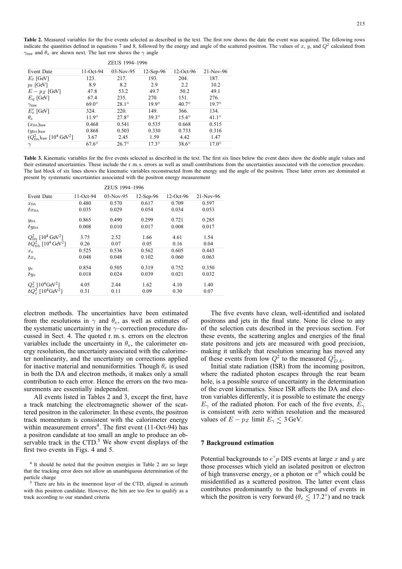Table 2. Measured variables for the five events selected as described in the text. The first row shows the date the event was acquired. The following rows indicate the quantities defined in equations 7 and 8, followed by the energy and angle of the scattered positron. The values of  $x$ ,  $y$ , and  $Q^2$  calculated from  $\gamma_{\text{raw}}$  and  $\theta_e$  are shown next. The last row shows the  $\gamma$  angle

| ZEUS 1994-1996                                         |              |                |                |                |                |  |  |
|--------------------------------------------------------|--------------|----------------|----------------|----------------|----------------|--|--|
| Event Date                                             | $11$ -Oct-94 | $03-Nov-95$    | $12$ -Sep-96   | $12$ -Oct-96   | $21-Nov-96$    |  |  |
| $E_t$ [GeV]                                            | 123.         | 217.           | 193.           | 204.           | 187.           |  |  |
| $p_t$ [GeV]                                            | 8.9          | 8.2            | 2.9            | 2.2            | 10.2           |  |  |
| $E - p_Z$ [GeV]                                        | 47.8         | 53.2           | 49.7           | 50.2           | 49.1           |  |  |
| $E_q$ [GeV]                                            | 67.4         | 235.           | 270.           | 151.           | 276.           |  |  |
| $\gamma_{\rm raw}$                                     | $69.0^\circ$ | $28.1^{\circ}$ | $19.9^\circ$   | $40.7^\circ$   | $19.7^{\circ}$ |  |  |
| $E_e'$ [GeV]                                           | 324.         | 220.           | 149.           | 366.           | 134.           |  |  |
| $\theta_e$                                             | $11.9^\circ$ | $27.8^\circ$   | $39.3^\circ$   | $15.4^{\circ}$ | $41.1^{\circ}$ |  |  |
| $(x_{DA})_{raw}$                                       | 0.468        | 0.541          | 0.535          | 0.668          | 0.515          |  |  |
| $(y_{DA})_{raw}$                                       | 0.868        | 0.503          | 0.330          | 0.733          | 0.316          |  |  |
| $(Q_{DA}^2)_{raw}$ [10 <sup>4</sup> GeV <sup>2</sup> ] | 3.67         | 2.45           | 1.59           | 4.42           | 1.47           |  |  |
| $\gamma$                                               | $67.6^\circ$ | $26.7^\circ$   | $17.3^{\circ}$ | $38.6^\circ$   | $17.0^\circ$   |  |  |

**Table 3.** Kinematic variables for the five events selected as described in the text. The first six lines below the event dates show the double angle values and their estimated uncertainties. These include the r. m. s. errors as well as small contributions from the uncertainties associated with the correction procedure. The last block of six lines shows the kinematic variables reconstructed from the energy and the angle of the positron. These latter errors are dominated at present by systematic uncertainties associated with the positron energy measurement

|                                                           |           | ZEUS 1994-1996 |              |             |           |
|-----------------------------------------------------------|-----------|----------------|--------------|-------------|-----------|
| Event Date                                                | 11-Oct-94 | 03-Nov-95      | $12$ -Sep-96 | $12-Oct-96$ | 21-Nov-96 |
| $x_{DA}$                                                  | 0.480     | 0.570          | 0.617        | 0.709       | 0.597     |
| $\delta x_{\rm DA}$                                       | 0.035     | 0.029          | 0.054        | 0.034       | 0.053     |
| $y_{DA}$                                                  | 0.865     | 0.490          | 0.299        | 0.721       | 0.285     |
| $\delta y_{\rm DA}$                                       | 0.008     | 0.010          | 0.017        | 0.008       | 0.017     |
| $Q_{DA}^2$ [10 <sup>4</sup> GeV <sup>2</sup> ]            | 3.75      | 2.52           | 1.66         | 4.61        | 1.54      |
| $\delta Q_{\rm Da}^2$ [10 <sup>4</sup> GeV <sup>2</sup> ] | 0.26      | 0.07           | 0.05         | 0.16        | 0.04      |
| $x_{e}$                                                   | 0.525     | 0.536          | 0.562        | 0.605       | 0.443     |
| $\delta x_e$                                              | 0.048     | 0.048          | 0.102        | 0.060       | 0.063     |
| $y_e$                                                     | 0.854     | 0.505          | 0.319        | 0.752       | 0.350     |
| $\delta y_e$                                              | 0.018     | 0.024          | 0.039        | 0.021       | 0.032     |
| $Q_e^2$ [10 <sup>4</sup> GeV <sup>2</sup> ]               | 4.05      | 2.44           | 1.62         | 4.10        | 1.40      |
| $\delta Q_e^2$ [10 <sup>4</sup> GeV <sup>2</sup> ]        | 0.31      | 0.11           | 0.09         | 0.30        | 0.07      |

electron methods. The uncertainties have been estimated from the resolutions in  $\gamma$  and  $\theta_e$ , as well as estimates of the systematic uncertainty in the  $\gamma$ –correction procedure discussed in Sect. 4. The quoted r. m. s. errors on the electron variables include the uncertainty in  $\theta_e$ , the calorimeter energy resolution, the uncertainty associated with the calorimeter nonlinearity, and the uncertainty on corrections applied for inactive material and nonuniformities. Though  $\theta_e$  is used in both the DA and electron methods, it makes only a small contribution to each error. Hence the errors on the two measurements are essentially independent.

All events listed in Tables 2 and 3, except the first, have a track matching the electromagnetic shower of the scattered positron in the calorimeter. In these events, the positron track momentum is consistent with the calorimeter energy within measurement errors<sup>4</sup>. The first event (11-Oct-94) has a positron candidate at too small an angle to produce an observable track in the  $CTD<sup>5</sup>$  We show event displays of the first two events in Figs. 4 and 5.

The five events have clean, well-identified and isolated positrons and jets in the final state. None lie close to any of the selection cuts described in the previous section. For these events, the scattering angles and energies of the final state positrons and jets are measured with good precision, making it unlikely that resolution smearing has moved any of these events from low  $Q^2$  to the measured  $Q_{DA}^2$ .

Initial state radiation (ISR) from the incoming positron, where the radiated photon escapes through the rear beam hole, is a possible source of uncertainty in the determination of the event kinematics. Since ISR affects the DA and electron variables differently, it is possible to estimate the energy  $E_{\gamma}$  of the radiated photon. For each of the five events,  $E_{\gamma}$ is consistent with zero within resolution and the measured values of  $E - p_Z$  limit  $E_\gamma \lesssim 3$  GeV.

#### **7 Background estimation**

Potential backgrounds to  $e^+p$  DIS events at large x and y are those processes which yield an isolated positron or electron of high transverse energy, or a photon or  $\pi^0$  which could be misidentified as a scattered positron. The latter event class contributes predominantly to the background of events in which the positron is very forward ( $\theta_e \lesssim 17.2°$ ) and no track

<sup>4</sup> It should be noted that the positron energies in Table 2 are so large that the tracking error does not allow an unambiguous determination of the particle charge

<sup>&</sup>lt;sup>5</sup> There are hits in the innermost layer of the CTD, aligned in azimuth with this positron candidate. However, the hits are too few to qualify as a track according to our standard criteria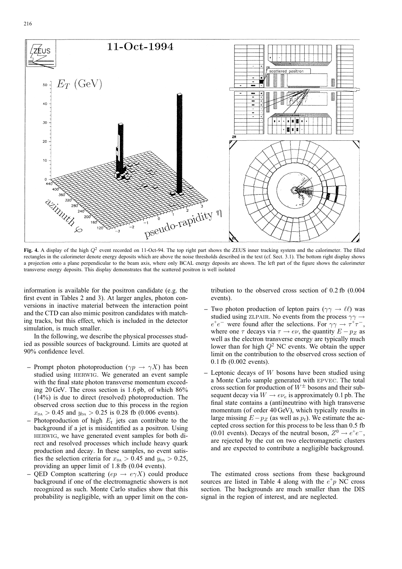

**Fig. 4.** A display of the high  $Q^2$  event recorded on 11-Oct-94. The top right part shows the ZEUS inner tracking system and the calorimeter. The filled rectangles in the calorimeter denote energy deposits which are above the noise thresholds described in the text (cf. Sect. 3.1). The bottom right display shows a projection onto a plane perpendicular to the beam axis, where only BCAL energy deposits are shown. The left part of the figure shows the calorimeter transverse energy deposits. This display demonstrates that the scattered positron is well isolated

information is available for the positron candidate (e.g. the first event in Tables 2 and 3). At larger angles, photon conversions in inactive material between the interaction point and the CTD can also mimic positron candidates with matching tracks, but this effect, which is included in the detector simulation, is much smaller.

In the following, we describe the physical processes studied as possible sources of background. Limits are quoted at 90% confidence level.

- **–** Prompt photon photoproduction ( $\gamma p \to \gamma X$ ) has been studied using herwig. We generated an event sample with the final state photon transverse momentum exceeding 20 GeV. The cross section is 1.6 pb, of which 86% (14%) is due to direct (resolved) photoproduction. The observed cross section due to this process in the region  $x_{DA} > 0.45$  and  $y_{DA} > 0.25$  is 0.28 fb (0.006 events).
- $-$  Photoproduction of high  $E_t$  jets can contribute to the background if a jet is misidentified as a positron. Using herwig, we have generated event samples for both direct and resolved processes which include heavy quark production and decay. In these samples, no event satisfies the selection criteria for  $x_{DA} > 0.45$  and  $y_{DA} > 0.25$ , providing an upper limit of 1.8 fb (0.04 events).
- **–** QED Compton scattering  $(ep \rightarrow e\gamma X)$  could produce background if one of the electromagnetic showers is not recognized as such. Monte Carlo studies show that this probability is negligible, with an upper limit on the con-

tribution to the observed cross section of 0.2 fb (0.004 events).

- $\sim$  Two photon production of lepton pairs ( $\gamma \gamma \rightarrow \ell \ell$ ) was studied using zLPAIR. No events from the process  $\gamma \gamma \rightarrow$  $e^+e^-$  were found after the selections. For  $\gamma\gamma \rightarrow \tau^+\tau^-$ , where one  $\tau$  decays via  $\tau \to e\nu$ , the quantity  $E - p_Z$  as well as the electron transverse energy are typically much lower than for high  $Q^2$  NC events. We obtain the upper limit on the contribution to the observed cross section of 0.1 fb (0.002 events).
- **–** Leptonic decays of W bosons have been studied using a Monte Carlo sample generated with epvec. The total cross section for production of  $W^{\pm}$  bosons and their subsequent decay via  $W \rightarrow e \nu_e$  is approximately 0.1 pb. The final state contains a (anti)neutrino with high transverse momentum (of order 40 GeV), which typically results in large missing  $E-p_Z$  (as well as  $p_t$ ). We estimate the accepted cross section for this process to be less than 0.5 fb (0.01 events). Decays of the neutral boson,  $Z^0 \rightarrow e^+e^-$ , are rejected by the cut on two electromagnetic clusters and are expected to contribute a negligible background.

The estimated cross sections from these background sources are listed in Table 4 along with the  $e^+p$  NC cross section. The backgrounds are much smaller than the DIS signal in the region of interest, and are neglected.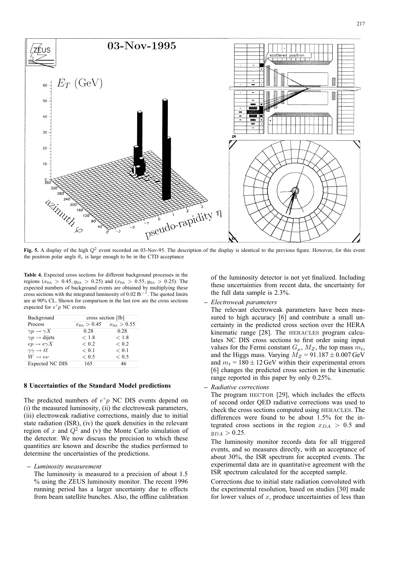

**Fig. 5.** A display of the high  $Q^2$  event recorded on 03-Nov-95. The description of the display is identical to the previous figure. However, for this event the positron polar angle  $\theta_e$  is large enough to be in the CTD acceptance

**Table 4.** Expected cross sections for different background processes in the regions ( $x_{DA} > 0.45$ ,  $y_{DA} > 0.25$ ) and ( $x_{DA} > 0.55$ ,  $y_{DA} > 0.25$ ). The expected numbers of background events are obtained by multiplying these cross sections with the integrated luminosity of 0.02  $\text{fb}^{-1}$ . The quoted limits are at 90% CL. Shown for comparison in the last row are the cross sections expected for  $e^+p$  NC events

| Background                          | cross section [fb] |                 |  |  |
|-------------------------------------|--------------------|-----------------|--|--|
| Process                             | $x_{DA} > 0.45$    | $x_{DA} > 0.55$ |  |  |
| $\gamma p \to \gamma X$             | 0.28               | 0.28            |  |  |
| $\gamma p \rightarrow$ dijets       | < 1.8              | < 1.8           |  |  |
| $ep \rightarrow e \gamma X$         | ${}< 0.2$          | ${}_{0.2}$      |  |  |
| $\gamma\gamma \rightarrow \ell\ell$ | < 0.1              | < 0.1           |  |  |
| $W\to e\nu$                         | ${}< 0.5$          | ${}< 0.5$       |  |  |
| Expected NC DIS                     | 165                | 46              |  |  |

### **8 Uncertainties of the Standard Model predictions**

The predicted numbers of  $e^+p$  NC DIS events depend on (i) the measured luminosity, (ii) the electroweak parameters, (iii) electroweak radiative corrections, mainly due to initial state radiation (ISR), (iv) the quark densities in the relevant region of x and  $Q^2$  and (v) the Monte Carlo simulation of the detector. We now discuss the precision to which these quantities are known and describe the studies performed to determine the uncertainties of the predictions.

- **–** *Luminosity measurement*
	- The luminosity is measured to a precision of about 1.5 % using the ZEUS luminosity monitor. The recent 1996 running period has a larger uncertainty due to effects from beam satellite bunches. Also, the offline calibration

of the luminosity detector is not yet finalized. Including these uncertainties from recent data, the uncertainty for the full data sample is 2.3%.

**–** *Electroweak parameters*

The relevant electroweak parameters have been measured to high accuracy [6] and contribute a small uncertainty in the predicted cross section over the HERA kinematic range [28]. The HERACLES program calculates NC DIS cross sections to first order using input values for the Fermi constant  $G_{\mu}$ ,  $M_Z$ , the top mass  $m_t$ , and the Higgs mass. Varying  $M_Z = 91.187 \pm 0.007$  GeV and  $m_t = 180 \pm 12$  GeV within their experimental errors [6] changes the predicted cross section in the kinematic range reported in this paper by only 0.25%.

**–** *Radiative corrections*

The program  $HECTOR$  [29], which includes the effects of second order QED radiative corrections was used to check the cross sections computed using heracles. The differences were found to be about 1.5% for the integrated cross sections in the region  $x_{DA} > 0.5$  and  $y_{DA} > 0.25$ .

The luminosity monitor records data for all triggered events, and so measures directly, with an acceptance of about 30%, the ISR spectrum for accepted events. The experimental data are in quantitative agreement with the ISR spectrum calculated for the accepted sample.

Corrections due to initial state radiation convoluted with the experimental resolution, based on studies [30] made for lower values of  $x$ , produce uncertainties of less than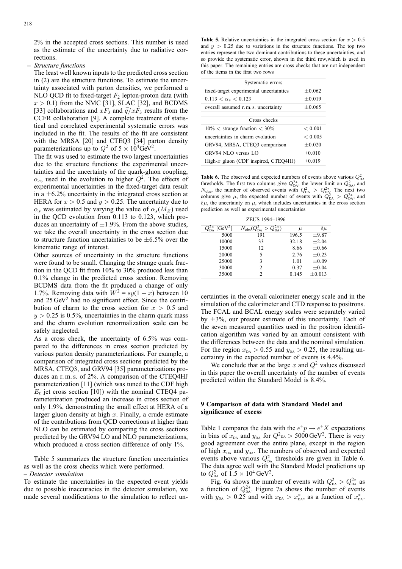2% in the accepted cross sections. This number is used as the estimate of the uncertainty due to radiative corrections.

**–** *Structure functions*

The least well known inputs to the predicted cross section in (2) are the structure functions. To estimate the uncertainty associated with parton densities, we performed a NLO QCD fit to fixed-target  $F_2$  lepton-proton data (with  $x > 0.1$ ) from the NMC [31], SLAC [32], and BCDMS [33] collaborations and  $xF_3$  and  $\overline{q}/xF_3$  results from the CCFR collaboration [9]. A complete treatment of statistical and correlated experimental systematic errors was included in the fit. The results of the fit are consistent with the MRSA [20] and CTEQ3 [34] parton density parameterizations up to  $Q^2$  of  $5 \times 10^4$ GeV<sup>2</sup>.

The fit was used to estimate the two largest uncertainties due to the structure functions: the experimental uncertainties and the uncertainty of the quark-gluon coupling,  $\alpha_s$ , used in the evolution to higher  $Q^2$ . The effects of experimental uncertainties in the fixed-target data result in a  $\pm$ 6.2% uncertainty in the integrated cross section at HERA for  $x > 0.5$  and  $y > 0.25$ . The uncertainty due to  $\alpha_s$  was estimated by varying the value of  $\alpha_s(M_Z)$  used in the QCD evolution from 0.113 to 0.123, which produces an uncertainty of  $\pm 1.9$ %. From the above studies, we take the overall uncertainty in the cross section due to structure function uncertainties to be  $\pm 6.5\%$  over the kinematic range of interest.

Other sources of uncertainty in the structure functions were found to be small. Changing the strange quark fraction in the QCD fit from 10% to 30% produced less than 0.1% change in the predicted cross section. Removing BCDMS data from the fit produced a change of only 1.7%. Removing data with  $W^2 = sy(1 - x)$  between 10 and 25 GeV<sup>2</sup> had no significant effect. Since the contribution of charm to the cross section for  $x > 0.5$  and  $y > 0.25$  is 0.5%, uncertainties in the charm quark mass and the charm evolution renormalization scale can be safely neglected.

As a cross check, the uncertainty of 6.5% was compared to the differences in cross section predicted by various parton density parameterizations. For example, a comparison of integrated cross sections predicted by the MRSA, CTEQ3, and GRV94 [35] parameterizations produces an r. m. s. of 2%. A comparison of the CTEQ4HJ parameterization [11] (which was tuned to the CDF high  $E_t$  jet cross section [10]) with the nominal CTEQ4 parameterization produced an increase in cross section of only 1.9%, demonstrating the small effect at HERA of a larger gluon density at high  $x$ . Finally, a crude estimate of the contributions from QCD corrections at higher than NLO can be estimated by comparing the cross sections predicted by the GRV94 LO and NLO parameterizations, which produced a cross section difference of only 1%.

Table 5 summarizes the structure function uncertainties as well as the cross checks which were performed.

– *Detector simulation*

To estimate the uncertainties in the expected event yields due to possible inaccuracies in the detector simulation, we made several modifications to the simulation to reflect un-

**Table 5.** Relative uncertainties in the integrated cross section for  $x > 0.5$ and  $y > 0.25$  due to variations in the structure functions. The top two entries represent the two dominant contributions to these uncertainties, and so provide the systematic error, shown in the third row,which is used in this paper. The remaining entries are cross checks that are not independent of the items in the first two rows

| Systematic errors                       |          |  |  |  |  |
|-----------------------------------------|----------|--|--|--|--|
| fixed-target experimental uncertainties | $+0.062$ |  |  |  |  |
| $0.113 < \alpha_s < 0.123$              | $+0.019$ |  |  |  |  |
| overall assumed r.m.s. uncertainty      | $+0.065$ |  |  |  |  |
|                                         |          |  |  |  |  |
| Cross checks                            |          |  |  |  |  |
| $10\% <$ strange fraction $< 30\%$      | < 0.001  |  |  |  |  |
| uncertainties in charm evolution        | < 0.005  |  |  |  |  |
| GRV94, MRSA, CTEO3 comparison           | $+0.020$ |  |  |  |  |
| GRV94 NLO versus LO                     | $+0.010$ |  |  |  |  |
| High- $x$ gluon (CDF inspired, CTEQ4HJ) | $+0.019$ |  |  |  |  |

**Table 6.** The observed and expected numbers of events above various  $Q_{DA}^2$ thresholds. The first two columns give  $Q_{DA}^{2*}$ , the lower limit on  $Q_{DA}^2$ , and  $N_{\text{obs}}$ , the number of observed events with  $Q_{\text{DA}}^2 > Q_{\text{DA}}^{2*}$ . The next two columns give  $\mu$ , the expected number of events with  $Q_{DA}^2 > Q_{DA}^{2*}$ , and  $\delta\mu$ , the uncertainty on  $\mu$ , which includes uncertainties in the cross section prediction as well as experimental uncertainties

|  | ZEUS 1994–1996 |
|--|----------------|
|--|----------------|

| $Q_{\rm DA}^{2*}$ [GeV <sup>2</sup> ] | $N_{\rm obs}(Q_{\rm D4}^2 > Q_{\rm D4}^{2*})$ | $\mu$ | $\delta\mu$ |
|---------------------------------------|-----------------------------------------------|-------|-------------|
| 5000                                  | 191                                           | 196.5 | ±9.87       |
| 10000                                 | 33                                            | 32.18 | $+2.04$     |
| 15000                                 | 12                                            | 8.66  | $\pm 0.66$  |
| 20000                                 | 5                                             | 2.76  | $\pm 0.23$  |
| 25000                                 | 3                                             | 1.01  | $\pm 0.09$  |
| 30000                                 | $\mathfrak{D}$                                | 0.37  | $\pm 0.04$  |
| 35000                                 | $\mathfrak{D}$                                | 0.145 | $\pm 0.013$ |

certainties in the overall calorimeter energy scale and in the simulation of the calorimeter and CTD response to positrons. The FCAL and BCAL energy scales were separately varied by  $\pm 3\%$ , our present estimate of this uncertainty. Each of the seven measured quantities used in the positron identification algorithm was varied by an amount consistent with the differences between the data and the nominal simulation. For the region  $x_{DA} > 0.55$  and  $y_{DA} > 0.25$ , the resulting uncertainty in the expected number of events is 4.4%.

We conclude that at the large  $x$  and  $Q^2$  values discussed in this paper the overall uncertainty of the number of events predicted within the Standard Model is 8.4%.

# **9 Comparison of data with Standard Model and significance of excess**

Table 1 compares the data with the  $e^+p \to e^+X$  expectations in bins of  $x_{DA}$  and  $y_{DA}$  for  $Q^2_{DA} > 5000 \text{ GeV}^2$ . There is very good agreement over the entire plane, except in the region of high  $x<sub>DA</sub>$  and  $y<sub>DA</sub>$ . The numbers of observed and expected events above various  $Q_{DA}^2$  thresholds are given in Table 6. The data agree well with the Standard Model predictions up to  $Q_{DA}^2$  of  $1.5 \times 10^4$  GeV<sup>2</sup>.

Fig. 6a shows the number of events with  $Q_{DA}^2 > Q_{DA}^{2*}$  as a function of  $Q_{DA}^{2*}$ . Figure 7a shows the number of events with  $y_{DA} > 0.25$  and with  $x_{DA} > x_{DA}^*$ , as a function of  $x_{DA}^*$ .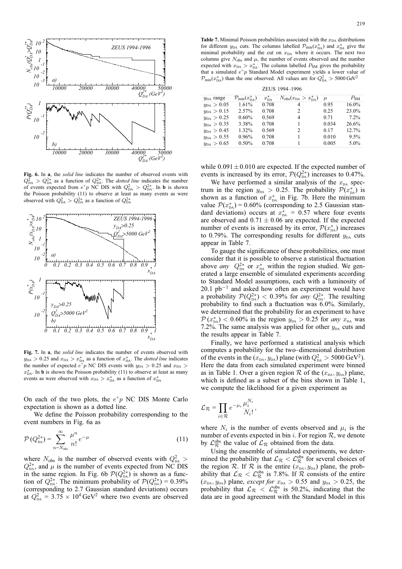

**Fig. 6.** In **a**, the *solid line* indicates the number of observed events with  $Q_{\text{DA}}^2 > Q_{\text{DA}}^{2*}$  as a function of  $Q_{\text{DA}}^{2*}$ . The *dotted line* indicates the number of events expected from  $e^+p$  NC DIS with  $Q_{DA}^2 > Q_{DA}^{2*}$ . In **b** is shown the Poisson probability (11) to observe at least as many events as were observed with  $Q_{DA}^2 > Q_{DA}^{2*}$  as a function of  $Q_{DA}^{2*}$ 



**Fig. 7.** In **a**, the *solid line* indicates the number of events observed with  $y_{\text{DA}} > 0.25$  and  $x_{\text{DA}} > x_{\text{DA}}^*$  as a function of  $x_{\text{DA}}^*$ . The *dotted line* indicates the number of expected  $e^+p$  NC DIS events with  $y_{DA} > 0.25$  and  $x_{DA} >$  $x_{\text{DA}}^*$ . In **b** is shown the Poisson probability (11) to observe at least as many events as were observed with  $x_{DA} > x_{DA}^*$  as a function of  $x_{DA}^*$ 

On each of the two plots, the  $e^+p$  NC DIS Monte Carlo expectation is shown as a dotted line.

We define the Poisson probability corresponding to the event numbers in Fig. 6a as

$$
\mathcal{P}(Q_{\text{DA}}^{2*}) = \sum_{n=N_{\text{obs}}}^{\infty} \frac{\mu^n}{n!} e^{-\mu} \tag{11}
$$

where  $N_{\text{obs}}$  is the number of observed events with  $Q_{\text{DA}}^2$  >  $Q_{\text{DA}}^{2*}$ , and  $\mu$  is the number of events expected from NC DIS in the same region. In Fig. 6b  $\mathcal{P}(Q_{DA}^{2*})$  is shown as a function of  $Q_{\text{DA}}^{2*}$ . The minimum probability of  $\mathcal{P}(Q_{\text{DA}}^{2*}) = 0.39\%$ (corresponding to 2.7 Gaussian standard deviations) occurs at  $Q_{DA}^2 = 3.75 \times 10^4 \,\text{GeV}^2$  where two events are observed

**Table 7.** Minimal Poisson probabilities associated with the  $x<sub>DA</sub>$  distributions for different  $y_{DA}$  cuts. The columns labelled  $\mathcal{P}_{min}(x_{DA}^*)$  and  $x_{DA}^*$  give the minimal probability and the cut on  $x<sub>DA</sub>$  where it occurs. The next two columns give  $N_{\text{obs}}$  and  $\mu$ , the number of events observed and the number expected with  $x_{DA} > x_{DA}^*$ . The column labelled  $P_{SM}$  gives the probability that a simulated  $e^+p$  Standard Model experiment yields a lower value of  $\mathcal{P}_{\text{min}}(x_{\text{DA}}^{*})$  than the one observed. All values are for  $Q_{\text{DA}}^{2} > 5000 \,\text{GeV}^{2}$ 

| ZEUS 1994-1996      |                                       |                   |                                                   |       |          |  |  |
|---------------------|---------------------------------------|-------------------|---------------------------------------------------|-------|----------|--|--|
| $y_{DA}$ range      | $\mathcal{P}_{\min}(x_{\text{DA}}^*)$ | $x_{\text{D}A}^*$ | $N_{\text{obs}}(x_{\text{DA}} > x_{\text{DA}}^*)$ | $\mu$ | $P_{SM}$ |  |  |
| $y_{\rm DA} > 0.05$ | 1.61%                                 | 0.708             | 4                                                 | 0.95  | $16.0\%$ |  |  |
| $y_{\rm DA} > 0.15$ | 2.57%                                 | 0.708             | 2                                                 | 0.25  | 23.0%    |  |  |
| $y_{DA} > 0.25$     | 0.60%                                 | 0.569             | $\overline{4}$                                    | 0.71  | 7.2%     |  |  |
| $y_{\rm DA} > 0.35$ | 3.38%                                 | 0.708             |                                                   | 0.034 | 26.6%    |  |  |
| $y_{DA} > 0.45$     | 1.32%                                 | 0.569             | 2                                                 | 0.17  | 12.7%    |  |  |
| $y_{\rm DA} > 0.55$ | 0.96%                                 | 0.708             |                                                   | 0.010 | $9.5\%$  |  |  |
| $y_{\rm DA} > 0.65$ | 0.50%                                 | 0.708             |                                                   | 0.005 | $5.0\%$  |  |  |

while  $0.091 \pm 0.010$  are expected. If the expected number of events is increased by its error,  $\mathcal{P}(Q_{DA}^{2*})$  increases to 0.47%.

We have performed a similar analysis of the  $x<sub>DA</sub>$  spectrum in the region  $y_{DA} > 0.25$ . The probability  $\mathcal{P}(x_{DA}^*)$  is shown as a function of  $x_{\text{DA}}^*$  in Fig. 7b. Here the minimum value  $P(x_{\text{DA}}^*) = 0.60\%$  (corresponding to 2.5 Gaussian standard deviations) occurs at  $x_{\text{DA}}^* = 0.57$  where four events are observed and  $0.71 \pm 0.06$  are expected. If the expected number of events is increased by its error,  $\mathcal{P}(x_{\text{DA}}^*)$  increases to 0.79%. The corresponding results for different  $y_{DA}$  cuts appear in Table 7.

To gauge the significance of these probabilities, one must consider that it is possible to observe a statistical fluctuation above *any*  $Q_{DA}^{2*}$  or  $x_{DA}^{*}$  within the region studied. We generated a large ensemble of simulated experiments according to Standard Model assumptions, each with a luminosity of 20.1  $pb^{-1}$  and asked how often an experiment would have a probability  $\mathcal{P}(Q_{DA}^{2*}) < 0.39\%$  for *any*  $Q_{DA}^{2*}$ . The resulting probability to find such a fluctuation was 6.0%. Similarly, we determined that the probability for an experiment to have  $P(x_{\text{DA}}^*)$  < 0.60% in the region  $y_{\text{DA}} > 0.25$  for *any*  $x_{\text{DA}}$  was 7.2%. The same analysis was applied for other  $y_{DA}$  cuts and the results appear in Table 7.

Finally, we have performed a statistical analysis which computes a probability for the two–dimensional distribution of the events in the  $(x_{DA}, y_{DA})$  plane (with  $Q_{DA}^2 > 5000 \,\text{GeV}^2$ ). Here the data from each simulated experiment were binned as in Table 1. Over a given region  $\mathcal R$  of the  $(x_{DA}, y_{DA})$  plane, which is defined as a subset of the bins shown in Table 1, we compute the likelihood for a given experiment as

$$
\mathcal{L}_{\mathcal{R}} = \prod_{i \in \mathcal{R}} e^{-\mu_i} \frac{\mu_i^{N_i}}{N_i!},
$$

where  $N_i$  is the number of events observed and  $\mu_i$  is the number of events expected in bin i. For region  $\mathcal{R}$ , we denote by  $\mathcal{L}_{\mathcal{R}}^{\text{obs}}$  the value of  $\mathcal{L}_{\mathcal{R}}$  obtained from the data.

Using the ensemble of simulated experiments, we determined the probability that  $\mathcal{L}_{\mathcal{R}} < \mathcal{L}_{\mathcal{R}}^{\text{obs}}$  for several choices of the region  $\mathcal R$ . If  $\mathcal R$  is the entire  $(x_{DA}, y_{DA})$  plane, the probability that  $\mathcal{L}_{\mathcal{R}} < \mathcal{L}_{\mathcal{R}}^{\text{obs}}$  is 7.8%. If  $\mathcal{R}$  consists of the entire  $(x_{DA}, y_{DA})$  plane, *except for*  $x_{DA} > 0.55$  and  $y_{DA} > 0.25$ , the probability that  $\mathcal{L}_R < \mathcal{L}_R^{\text{obs}}$  is 50.2%, indicating that the data are in good agreement with the Standard Model in this